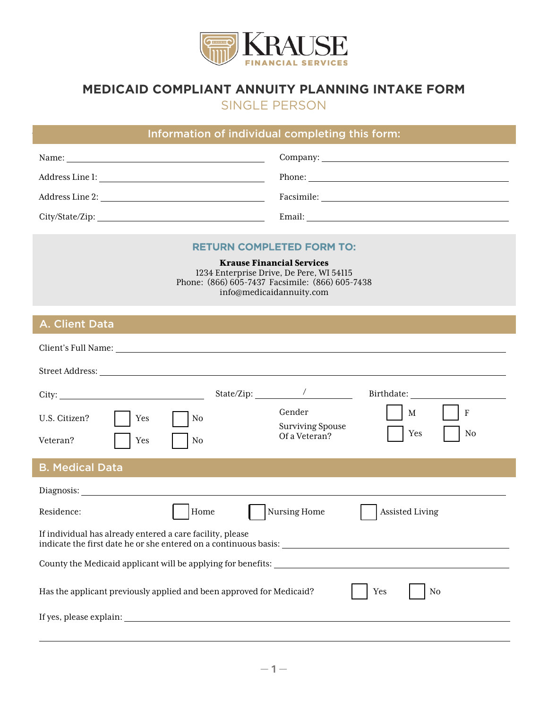

# **MEDICAID COMPLIANT ANNUITY PLANNING INTAKE FORM**

SINGLE PERSON

#### Information of individual completing this form:

| Name:                                                                 |            |
|-----------------------------------------------------------------------|------------|
| Address Line 1:                                                       | Phone:     |
| Address Line 2:<br><u> 1980 - John Stein, Amerikaansk politiker (</u> | Facsimile: |
| City/State/Zip:                                                       | Email:     |

#### RETURN COMPLETED FORM TO:

Krause Financial Services 1234 Enterprise Drive, De Pere, WI 54115 Phone: (866) 605-7437 Facsimile: (866) 605-7438

info@medicaidannuity.com

## A. Client Data

| City:<br>U.S. Citizen?<br>Yes<br>No<br>Veteran?<br>Yes<br>No                      | $\sqrt{2}$<br>State/Zip:<br>Gender<br><b>Surviving Spouse</b><br>Of a Veteran? | Birthdate:<br>M<br>$\mathbf F$<br>Yes<br>N <sub>0</sub> |  |
|-----------------------------------------------------------------------------------|--------------------------------------------------------------------------------|---------------------------------------------------------|--|
| <b>B. Medical Data</b>                                                            |                                                                                |                                                         |  |
|                                                                                   |                                                                                |                                                         |  |
| Residence:<br>Home                                                                | Nursing Home                                                                   | <b>Assisted Living</b>                                  |  |
| If individual has already entered a care facility, please                         |                                                                                |                                                         |  |
|                                                                                   |                                                                                |                                                         |  |
| Has the applicant previously applied and been approved for Medicaid?<br>Yes<br>No |                                                                                |                                                         |  |
|                                                                                   |                                                                                |                                                         |  |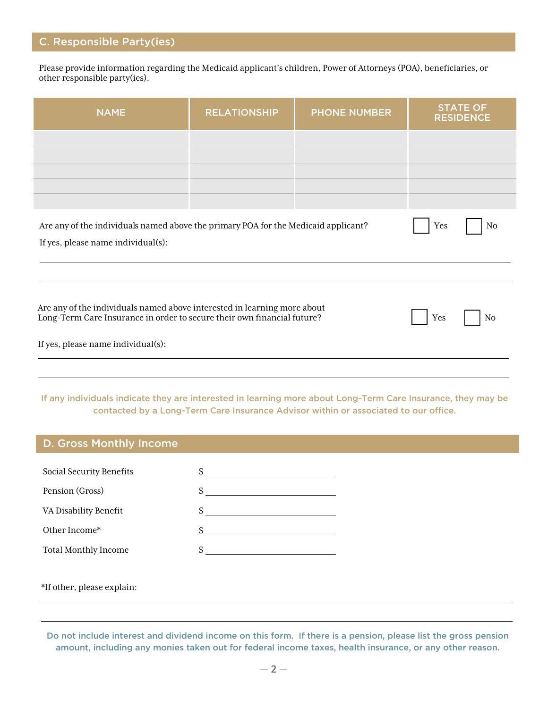#### C. Responsible Party(ies)

 Please provide information regarding the Medicaid applicant's children, Power of Attorneys (POA), beneficiaries, or other responsible party(ies).

| <b>NAME</b>                                                                                                                                         | <b>RELATIONSHIP</b>   | <b>PHONE NUMBER</b> | <b>STATE OF</b><br><b>RESIDENCE</b> |  |
|-----------------------------------------------------------------------------------------------------------------------------------------------------|-----------------------|---------------------|-------------------------------------|--|
|                                                                                                                                                     |                       |                     |                                     |  |
|                                                                                                                                                     |                       |                     |                                     |  |
|                                                                                                                                                     |                       |                     |                                     |  |
|                                                                                                                                                     |                       |                     |                                     |  |
|                                                                                                                                                     |                       |                     |                                     |  |
| Are any of the individuals named above the primary POA for the Medicaid applicant?                                                                  | Yes<br>N <sub>0</sub> |                     |                                     |  |
| If yes, please name individual(s):                                                                                                                  |                       |                     |                                     |  |
|                                                                                                                                                     |                       |                     |                                     |  |
|                                                                                                                                                     |                       |                     |                                     |  |
| Are any of the individuals named above interested in learning more about<br>Long-Term Care Insurance in order to secure their own financial future? |                       |                     | <b>Yes</b><br>N <sub>0</sub>        |  |
| If yes, please name individual(s):                                                                                                                  |                       |                     |                                     |  |
|                                                                                                                                                     |                       |                     |                                     |  |

 If any individuals indicate they are interested in learning more about Long-Term Care Insurance, they may be contacted by a Long-Term Care Insurance Advisor within or associated to our office.

## D. Gross Monthly Income

| Social Security Benefits    | \$                                                                                                                                                                                                                                         |
|-----------------------------|--------------------------------------------------------------------------------------------------------------------------------------------------------------------------------------------------------------------------------------------|
| Pension (Gross)             | $\sim$                                                                                                                                                                                                                                     |
| VA Disability Benefit       | \$                                                                                                                                                                                                                                         |
| Other Income*               | \$<br><u>and the company of the company of the company of the company of the company of the company of the company of the company of the company of the company of the company of the company of the company of the company of the com</u> |
| <b>Total Monthly Income</b> | \$                                                                                                                                                                                                                                         |
|                             |                                                                                                                                                                                                                                            |
| *If other, please explain:  |                                                                                                                                                                                                                                            |
|                             |                                                                                                                                                                                                                                            |

Do not include interest and dividend income on this form. If there is a pension, please list the gross pension amount, including any monies taken out for federal income taxes, health insurance, or any other reason.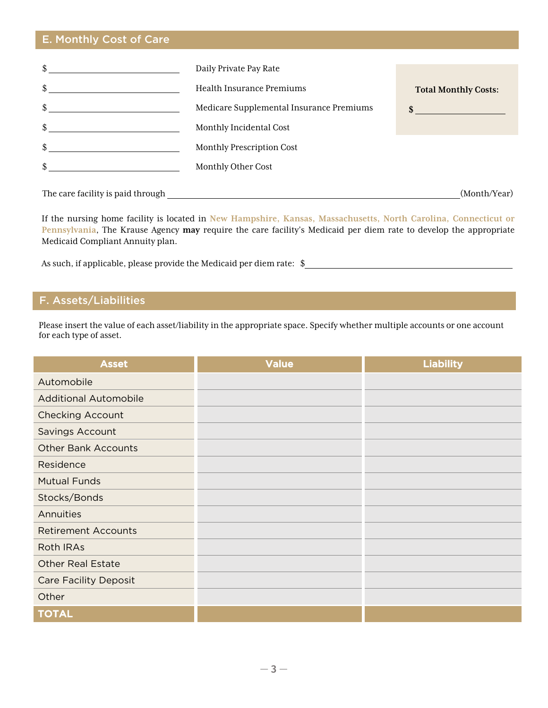#### E. Monthly Cost of Care

| \$<br>Daily Private Pay Rate                   |                             |
|------------------------------------------------|-----------------------------|
| \$<br>Health Insurance Premiums                | <b>Total Monthly Costs:</b> |
| \$<br>Medicare Supplemental Insurance Premiums | $\sim$                      |
| \$<br>Monthly Incidental Cost                  |                             |
| \$<br>Monthly Prescription Cost                |                             |
| \$<br>Monthly Other Cost                       |                             |
|                                                |                             |

The care facility is paid through (Month/Year)

If the nursing home facility is located in **New Hampshire, Kansas, Massachusetts, North Carolina, Connecticut or Pennsylvania**, The Krause Agency **may** require the care facility's Medicaid per diem rate to develop the appropriate Medicaid Compliant Annuity plan.

As such, if applicable, please provide the Medicaid per diem rate: \$

#### F. Assets/Liabilities

Please insert the value of each asset/liability in the appropriate space. Specify whether multiple accounts or one account for each type of asset.

| <b>Asset</b>                 | <b>Value</b> | <b>Liability</b> |
|------------------------------|--------------|------------------|
| Automobile                   |              |                  |
| <b>Additional Automobile</b> |              |                  |
| <b>Checking Account</b>      |              |                  |
| Savings Account              |              |                  |
| <b>Other Bank Accounts</b>   |              |                  |
| Residence                    |              |                  |
| <b>Mutual Funds</b>          |              |                  |
| Stocks/Bonds                 |              |                  |
| Annuities                    |              |                  |
| <b>Retirement Accounts</b>   |              |                  |
| <b>Roth IRAs</b>             |              |                  |
| <b>Other Real Estate</b>     |              |                  |
| <b>Care Facility Deposit</b> |              |                  |
| Other                        |              |                  |
| <b>TOTAL</b>                 |              |                  |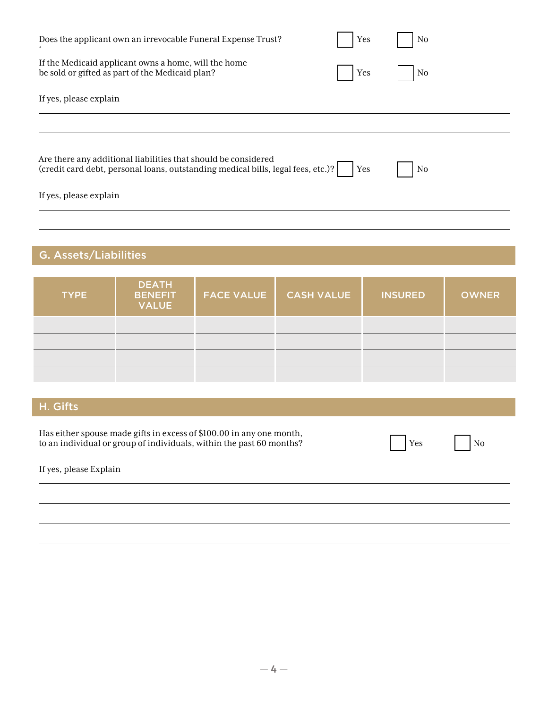| Does the applicant own an irrevocable Funeral Expense Trust?                                                                                       | Yes | No |  |  |  |
|----------------------------------------------------------------------------------------------------------------------------------------------------|-----|----|--|--|--|
| If the Medicaid applicant owns a home, will the home<br>be sold or gifted as part of the Medicaid plan?                                            | Yes | No |  |  |  |
| If yes, please explain                                                                                                                             |     |    |  |  |  |
|                                                                                                                                                    |     |    |  |  |  |
| Are there any additional liabilities that should be considered<br>(credit card debt, personal loans, outstanding medical bills, legal fees, etc.)? | Yes | No |  |  |  |
| If yes, please explain                                                                                                                             |     |    |  |  |  |
|                                                                                                                                                    |     |    |  |  |  |

# G. Assets/Liabilities

| <b>TYPE</b> | <b>DEATH</b><br><b>BENEFIT</b><br><b>VALUE</b> | <b>FACE VALUE</b> | <b>CASH VALUE</b> | <b>INSURED</b> | <b>OWNER</b> |
|-------------|------------------------------------------------|-------------------|-------------------|----------------|--------------|
|             |                                                |                   |                   |                |              |
|             |                                                |                   |                   |                |              |
|             |                                                |                   |                   |                |              |
|             |                                                |                   |                   |                |              |

## H. Gifts

Has either spouse made gifts in excess of \$100.00 in any one month, to an individual or group of individuals, within the past 60 months?  $\begin{array}{|c|c|}\hline \end{array}$  Yes  $\begin{array}{|c|c|c|}\hline \end{array}$  No

If yes, please Explain